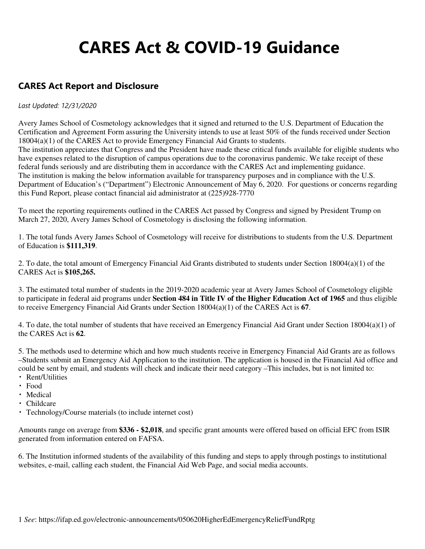# **CARES Act & COVID-19 Guidance**

### **CARES Act Report and Disclosure**

#### *Last Updated: 12/31/2020*

Avery James School of Cosmetology acknowledges that it signed and returned to the U.S. Department of Education the Certification and Agreement Form assuring the University intends to use at least 50% of the funds received under Section 18004(a)(1) of the CARES Act to provide Emergency Financial Aid Grants to students. The institution appreciates that Congress and the President have made these critical funds available for eligible students who have expenses related to the disruption of campus operations due to the coronavirus pandemic. We take receipt of these federal funds seriously and are distributing them in accordance with the CARES Act and implementing guidance. The institution is making the below information available for transparency purposes and in compliance with the U.S. Department of Education's ("Department") Electronic Announcement of May 6, 2020. For questions or concerns regarding this Fund Report, please contact financial aid administrator at (225)928-7770

To meet the reporting requirements outlined in the CARES Act passed by Congress and signed by President Trump on March 27, 2020, Avery James School of Cosmetology is disclosing the following information.

1. The total funds Avery James School of Cosmetology will receive for distributions to students from the U.S. Department of Education is **\$111,319**.

2. To date, the total amount of Emergency Financial Aid Grants distributed to students under Section 18004(a)(1) of the CARES Act is **\$105,265.**

3. The estimated total number of students in the 2019-2020 academic year at Avery James School of Cosmetology eligible to participate in federal aid programs under **Section 484 in Title IV of the Higher Education Act of 1965** and thus eligible to receive Emergency Financial Aid Grants under Section 18004(a)(1) of the CARES Act is **67**.

4. To date, the total number of students that have received an Emergency Financial Aid Grant under Section 18004(a)(1) of the CARES Act is **62**.

5. The methods used to determine which and how much students receive in Emergency Financial Aid Grants are as follows –Students submit an Emergency Aid Application to the institution. The application is housed in the Financial Aid office and could be sent by email, and students will check and indicate their need category –This includes, but is not limited to:

- Rent/Utilities
- Food
- Medical
- Childcare
- Technology/Course materials (to include internet cost)

Amounts range on average from **\$336 - \$2,018**, and specific grant amounts were offered based on official EFC from ISIR generated from information entered on FAFSA.

6. The Institution informed students of the availability of this funding and steps to apply through postings to institutional websites, e-mail, calling each student, the Financial Aid Web Page, and social media accounts.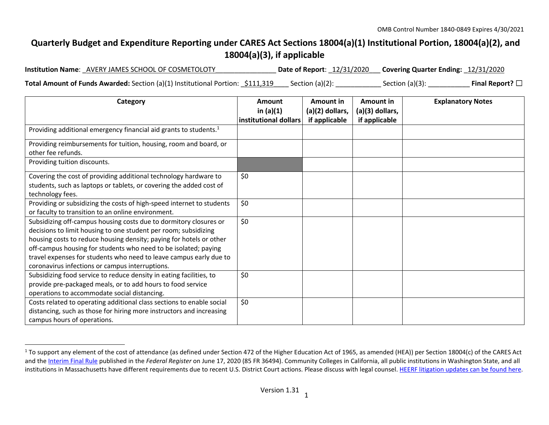## **Quarterly Budget and Expenditure Reporting under CARES Act Sections 18004(a)(1) Institutional Portion, 18004(a)(2), and 18004(a)(3), if applicable**

| <b>Institution Name: AVERY JAMES SCHOOL OF COSMETOLOTY</b>                      | Date of Report: 12/31/2020 Covering Quarter Ending: 12/31/2020 |                 |                         |
|---------------------------------------------------------------------------------|----------------------------------------------------------------|-----------------|-------------------------|
| Total Amount of Funds Awarded: Section (a)(1) Institutional Portion: _\$111,319 | Section (a)(2):                                                | Section (a)(3): | Final Report? $\square$ |

| Category                                                                                                                                                                                                                                                                                                                                                                                                | Amount<br>in $(a)(1)$ | Amount in<br>(a)(2) dollars, | Amount in<br>(a)(3) dollars, | <b>Explanatory Notes</b> |
|---------------------------------------------------------------------------------------------------------------------------------------------------------------------------------------------------------------------------------------------------------------------------------------------------------------------------------------------------------------------------------------------------------|-----------------------|------------------------------|------------------------------|--------------------------|
|                                                                                                                                                                                                                                                                                                                                                                                                         | institutional dollars | if applicable                | if applicable                |                          |
| Providing additional emergency financial aid grants to students. <sup>1</sup>                                                                                                                                                                                                                                                                                                                           |                       |                              |                              |                          |
| Providing reimbursements for tuition, housing, room and board, or<br>other fee refunds.                                                                                                                                                                                                                                                                                                                 |                       |                              |                              |                          |
| Providing tuition discounts.                                                                                                                                                                                                                                                                                                                                                                            |                       |                              |                              |                          |
| Covering the cost of providing additional technology hardware to<br>students, such as laptops or tablets, or covering the added cost of<br>technology fees.                                                                                                                                                                                                                                             | \$0                   |                              |                              |                          |
| Providing or subsidizing the costs of high-speed internet to students<br>or faculty to transition to an online environment.                                                                                                                                                                                                                                                                             | \$0                   |                              |                              |                          |
| Subsidizing off-campus housing costs due to dormitory closures or<br>decisions to limit housing to one student per room; subsidizing<br>housing costs to reduce housing density; paying for hotels or other<br>off-campus housing for students who need to be isolated; paying<br>travel expenses for students who need to leave campus early due to<br>coronavirus infections or campus interruptions. | \$0                   |                              |                              |                          |
| Subsidizing food service to reduce density in eating facilities, to<br>provide pre-packaged meals, or to add hours to food service<br>operations to accommodate social distancing.                                                                                                                                                                                                                      | \$0                   |                              |                              |                          |
| Costs related to operating additional class sections to enable social<br>distancing, such as those for hiring more instructors and increasing<br>campus hours of operations.                                                                                                                                                                                                                            | \$0                   |                              |                              |                          |

<sup>&</sup>lt;sup>1</sup> To support any element of the cost of attendance (as defined under Section 472 of the Higher Education Act of 1965, as amended (HEA)) per Section 18004(c) of the CARES Act and the Interim Final Rule published in the *Federal Register* on June 17, 2020 (85 FR 36494). Community Colleges in California, all public institutions in Washington State, and all institutions in Massachusetts have different requirements due to recent U.S. District Court actions. Please discuss with legal counsel. HEERF litigation updates can be found here.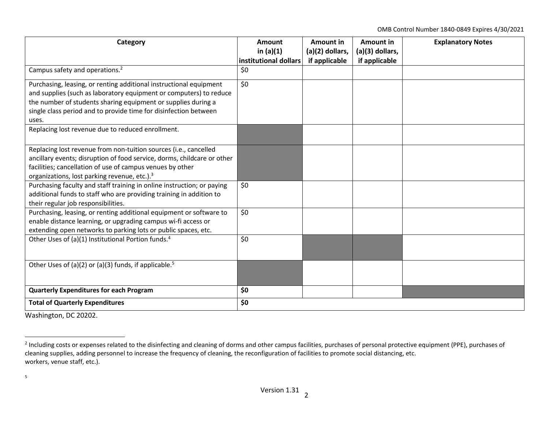OMB Control Number 1840-0849 Expires 4/30/2021

| Category                                                                                                                                                                                                                                                                               | Amount<br>in $(a)(1)$<br>institutional dollars | Amount in<br>(a)(2) dollars,<br>if applicable | <b>Amount in</b><br>(a)(3) dollars,<br>if applicable | <b>Explanatory Notes</b> |
|----------------------------------------------------------------------------------------------------------------------------------------------------------------------------------------------------------------------------------------------------------------------------------------|------------------------------------------------|-----------------------------------------------|------------------------------------------------------|--------------------------|
| Campus safety and operations. <sup>2</sup>                                                                                                                                                                                                                                             | \$0                                            |                                               |                                                      |                          |
| Purchasing, leasing, or renting additional instructional equipment<br>and supplies (such as laboratory equipment or computers) to reduce<br>the number of students sharing equipment or supplies during a<br>single class period and to provide time for disinfection between<br>uses. | \$0                                            |                                               |                                                      |                          |
| Replacing lost revenue due to reduced enrollment.                                                                                                                                                                                                                                      |                                                |                                               |                                                      |                          |
| Replacing lost revenue from non-tuition sources (i.e., cancelled<br>ancillary events; disruption of food service, dorms, childcare or other<br>facilities; cancellation of use of campus venues by other<br>organizations, lost parking revenue, etc.). <sup>3</sup>                   |                                                |                                               |                                                      |                          |
| Purchasing faculty and staff training in online instruction; or paying<br>additional funds to staff who are providing training in addition to<br>their regular job responsibilities.                                                                                                   | \$0                                            |                                               |                                                      |                          |
| Purchasing, leasing, or renting additional equipment or software to<br>enable distance learning, or upgrading campus wi-fi access or<br>extending open networks to parking lots or public spaces, etc.                                                                                 | \$0                                            |                                               |                                                      |                          |
| Other Uses of (a)(1) Institutional Portion funds. <sup>4</sup>                                                                                                                                                                                                                         | \$0                                            |                                               |                                                      |                          |
| Other Uses of (a)(2) or (a)(3) funds, if applicable. <sup>5</sup>                                                                                                                                                                                                                      |                                                |                                               |                                                      |                          |
| <b>Quarterly Expenditures for each Program</b>                                                                                                                                                                                                                                         | \$0                                            |                                               |                                                      |                          |
| <b>Total of Quarterly Expenditures</b>                                                                                                                                                                                                                                                 | \$0                                            |                                               |                                                      |                          |

Washington, DC 20202.

<sup>&</sup>lt;sup>2</sup> Including costs or expenses related to the disinfecting and cleaning of dorms and other campus facilities, purchases of personal protective equipment (PPE), purchases of cleaning supplies, adding personnel to increase the frequency of cleaning, the reconfiguration of facilities to promote social distancing, etc. workers, venue staff, etc.).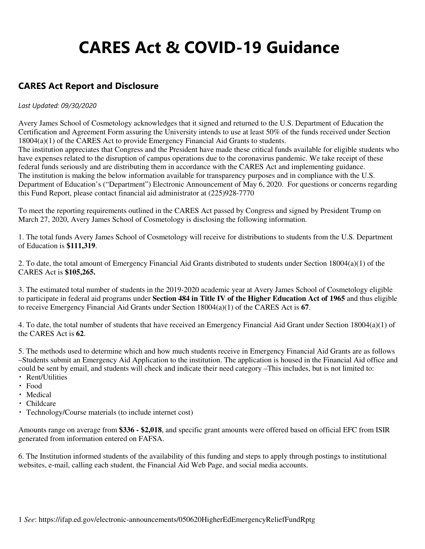# **CARES Act & COVID-19 Guidance**

### **CARES Act Report and Disclosure**

#### *Last Updated: 09/30/2020*

Avery James School of Cosmetology acknowledges that it signed and returned to the U.S. Department of Education the Certification and Agreement Form assuring the University intends to use at least 50% of the funds received under Section 18004(a)(1) of the CARES Act to provide Emergency Financial Aid Grants to students. The institution appreciates that Congress and the President have made these critical funds available for eligible students who have expenses related to the disruption of campus operations due to the coronavirus pandemic. We take receipt of these federal funds seriously and are distributing them in accordance with the CARES Act and implementing guidance. The institution is making the below information available for transparency purposes and in compliance with the U.S. Department of Education's ("Department") Electronic Announcement of May 6, 2020. For questions or concerns regarding this Fund Report, please contact financial aid administrator at (225)928-7770

To meet the reporting requirements outlined in the CARES Act passed by Congress and signed by President Trump on March 27, 2020, Avery James School of Cosmetology is disclosing the following information.

1. The total funds Avery James School of Cosmetology will receive for distributions to students from the U.S. Department of Education is **\$111,319**.

2. To date, the total amount of Emergency Financial Aid Grants distributed to students under Section 18004(a)(1) of the CARES Act is **\$105,265.**

3. The estimated total number of students in the 2019-2020 academic year at Avery James School of Cosmetology eligible to participate in federal aid programs under **Section 484 in Title IV of the Higher Education Act of 1965** and thus eligible to receive Emergency Financial Aid Grants under Section 18004(a)(1) of the CARES Act is **67**.

4. To date, the total number of students that have received an Emergency Financial Aid Grant under Section 18004(a)(1) of the CARES Act is **62**.

5. The methods used to determine which and how much students receive in Emergency Financial Aid Grants are as follows –Students submit an Emergency Aid Application to the institution. The application is housed in the Financial Aid office and could be sent by email, and students will check and indicate their need category –This includes, but is not limited to:

- Rent/Utilities
- Food
- Medical
- Childcare
- Technology/Course materials (to include internet cost)

Amounts range on average from **\$336 - \$2,018**, and specific grant amounts were offered based on official EFC from ISIR generated from information entered on FAFSA.

6. The Institution informed students of the availability of this funding and steps to apply through postings to institutional websites, e-mail, calling each student, the Financial Aid Web Page, and social media accounts.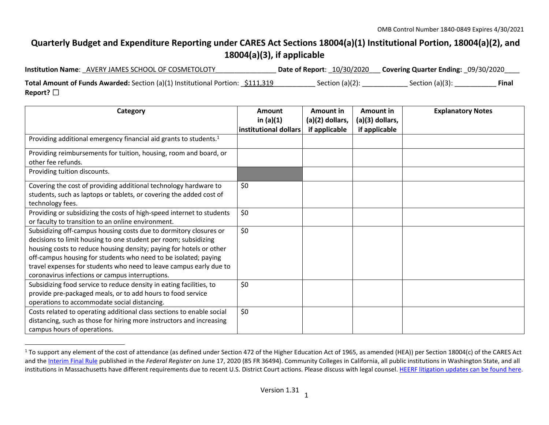## **Quarterly Budget and Expenditure Reporting under CARES Act Sections 18004(a)(1) Institutional Portion, 18004(a)(2), and 18004(a)(3), if applicable**

| <b>Institution Name: AVERY JAMES SCHOOL OF COSMETOLOTY</b>                            | <b>Date of Report: 10/30/2020</b> | <b>Covering Quarter Ending: 09/30/2020</b> |              |
|---------------------------------------------------------------------------------------|-----------------------------------|--------------------------------------------|--------------|
| <b>Total Amount of Funds Awarded:</b> Section (a)(1) Institutional Portion: \$111,319 | Section $(a)(2)$ :                | Section $(a)(3)$ :                         | <b>Final</b> |
| Report? $\square$                                                                     |                                   |                                            |              |

| Category                                                                                                                                                                                                                                                                                                                                                                                                | Amount<br>in $(a)(1)$ | Amount in<br>$(a)(2)$ dollars, | Amount in<br>$(a)(3)$ dollars, | <b>Explanatory Notes</b> |
|---------------------------------------------------------------------------------------------------------------------------------------------------------------------------------------------------------------------------------------------------------------------------------------------------------------------------------------------------------------------------------------------------------|-----------------------|--------------------------------|--------------------------------|--------------------------|
|                                                                                                                                                                                                                                                                                                                                                                                                         | institutional dollars | if applicable                  | if applicable                  |                          |
| Providing additional emergency financial aid grants to students. <sup>1</sup>                                                                                                                                                                                                                                                                                                                           |                       |                                |                                |                          |
| Providing reimbursements for tuition, housing, room and board, or<br>other fee refunds.                                                                                                                                                                                                                                                                                                                 |                       |                                |                                |                          |
| Providing tuition discounts.                                                                                                                                                                                                                                                                                                                                                                            |                       |                                |                                |                          |
| Covering the cost of providing additional technology hardware to<br>students, such as laptops or tablets, or covering the added cost of<br>technology fees.                                                                                                                                                                                                                                             | \$0                   |                                |                                |                          |
| Providing or subsidizing the costs of high-speed internet to students<br>or faculty to transition to an online environment.                                                                                                                                                                                                                                                                             | \$0                   |                                |                                |                          |
| Subsidizing off-campus housing costs due to dormitory closures or<br>decisions to limit housing to one student per room; subsidizing<br>housing costs to reduce housing density; paying for hotels or other<br>off-campus housing for students who need to be isolated; paying<br>travel expenses for students who need to leave campus early due to<br>coronavirus infections or campus interruptions. | \$0                   |                                |                                |                          |
| Subsidizing food service to reduce density in eating facilities, to<br>provide pre-packaged meals, or to add hours to food service<br>operations to accommodate social distancing.                                                                                                                                                                                                                      | \$0                   |                                |                                |                          |
| Costs related to operating additional class sections to enable social<br>distancing, such as those for hiring more instructors and increasing<br>campus hours of operations.                                                                                                                                                                                                                            | \$0                   |                                |                                |                          |

<sup>&</sup>lt;sup>1</sup> To support any element of the cost of attendance (as defined under Section 472 of the Higher Education Act of 1965, as amended (HEA)) per Section 18004(c) of the CARES Act and the Interim Final Rule published in the *Federal Register* on June 17, 2020 (85 FR 36494). Community Colleges in California, all public institutions in Washington State, and all institutions in Massachusetts have different requirements due to recent U.S. District Court actions. Please discuss with legal counsel. HEERF litigation updates can be found here.